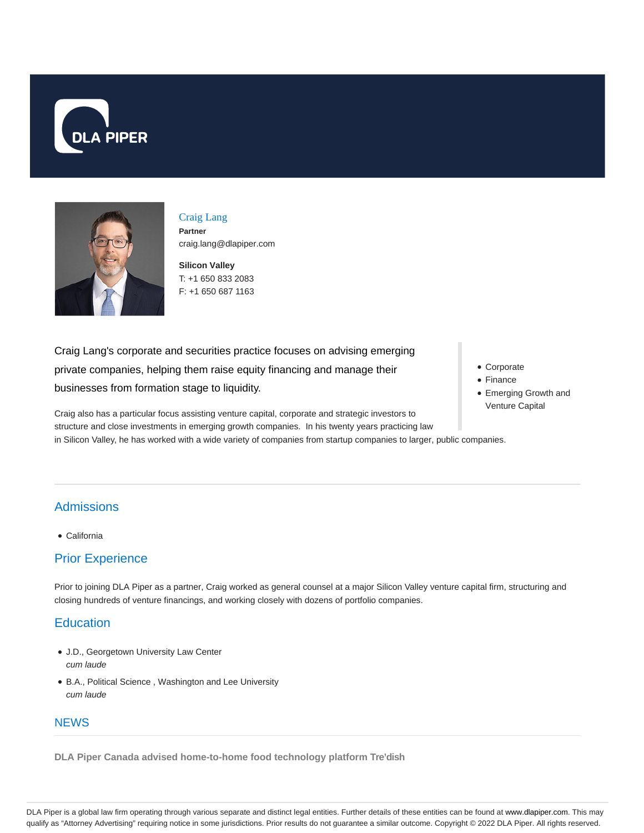



Craig Lang **Partner** craig.lang@dlapiper.com

**Silicon Valley** T: +1 650 833 2083 F: +1 650 687 1163

Craig Lang's corporate and securities practice focuses on advising emerging private companies, helping them raise equity financing and manage their businesses from formation stage to liquidity.

Corporate • Finance

Emerging Growth and Venture Capital

Craig also has a particular focus assisting venture capital, corporate and strategic investors to structure and close investments in emerging growth companies. In his twenty years practicing law in Silicon Valley, he has worked with a wide variety of companies from startup companies to larger, public companies.

## Admissions

California

## Prior Experience

Prior to joining DLA Piper as a partner, Craig worked as general counsel at a major Silicon Valley venture capital firm, structuring and closing hundreds of venture financings, and working closely with dozens of portfolio companies.

## **Education**

- J.D., Georgetown University Law Center cum laude
- B.A., Political Science , Washington and Lee University cum laude

## **NEWS**

**DLA Piper Canada advised home-to-home food technology platform Tre'dish**

DLA Piper is a global law firm operating through various separate and distinct legal entities. Further details of these entities can be found at www.dlapiper.com. This may qualify as "Attorney Advertising" requiring notice in some jurisdictions. Prior results do not guarantee a similar outcome. Copyright © 2022 DLA Piper. All rights reserved.